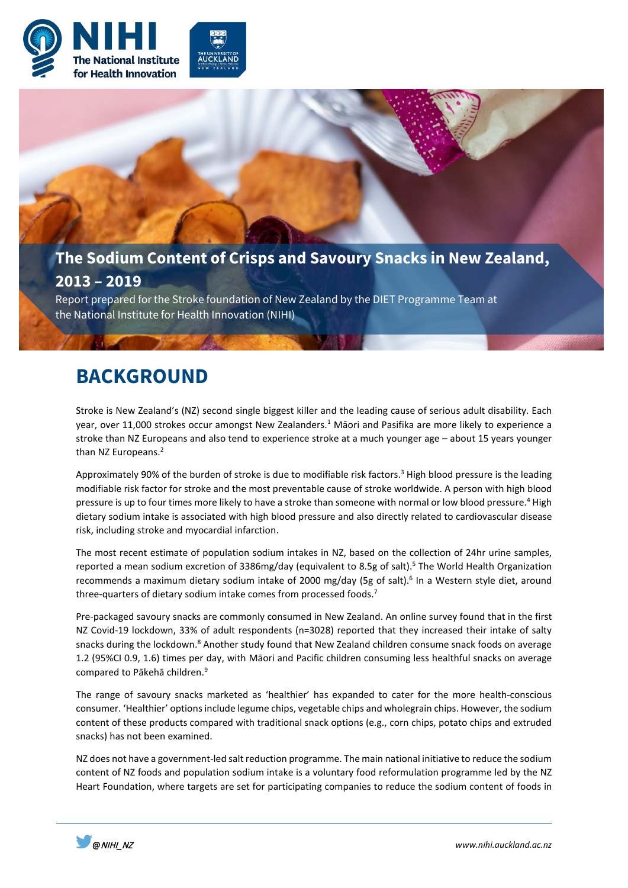



Report prepared for the Stroke foundation of New Zealand by the DIET Programme Team at the National Institute for Health Innovation (NIHI)

# **BACKGROUND**

Stroke is New Zealand's (NZ) second single biggest killer and the leading cause of serious adult disability. Each year, over 11,000 strokes occur amongst New Zealanders.<sup>1</sup> Māori and Pasifika are more likely to experience a stroke than NZ Europeans and also tend to experience stroke at a much younger age – about 15 years younger than NZ Europeans.<sup>2</sup>

Approximately 90% of the burden of stroke is due to modifiable risk factors.<sup>3</sup> High blood pressure is the leading modifiable risk factor for stroke and the most preventable cause of stroke worldwide. A person with high blood pressure is up to four times more likely to have a stroke than someone with normal or low blood pressure.<sup>4</sup> High dietary sodium intake is associated with high blood pressure and also directly related to cardiovascular disease risk, including stroke and myocardial infarction.

The most recent estimate of population sodium intakes in NZ, based on the collection of 24hr urine samples, reported a mean sodium excretion of 3386mg/day (equivalent to 8.5g of salt).<sup>5</sup> The World Health Organization recommends a maximum dietary sodium intake of 2000 mg/day (5g of salt).<sup>6</sup> In a Western style diet, around three-quarters of dietary sodium intake comes from processed foods.<sup>7</sup>

Pre-packaged savoury snacks are commonly consumed in New Zealand. An online survey found that in the first NZ Covid-19 lockdown, 33% of adult respondents (n=3028) reported that they increased their intake of salty snacks during the lockdown.<sup>8</sup> Another study found that New Zealand children consume snack foods on average 1.2 (95%CI 0.9, 1.6) times per day, with Māori and Pacific children consuming less healthful snacks on average compared to Pākehā children.9

The range of savoury snacks marketed as 'healthier' has expanded to cater for the more health-conscious consumer. 'Healthier' options include legume chips, vegetable chips and wholegrain chips. However, the sodium content of these products compared with traditional snack options (e.g., corn chips, potato chips and extruded snacks) has not been examined.

NZ does not have a government-led salt reduction programme. The main national initiative to reduce the sodium content of NZ foods and population sodium intake is a voluntary food reformulation programme led by the NZ Heart Foundation, where targets are set for participating companies to reduce the sodium content of foods in

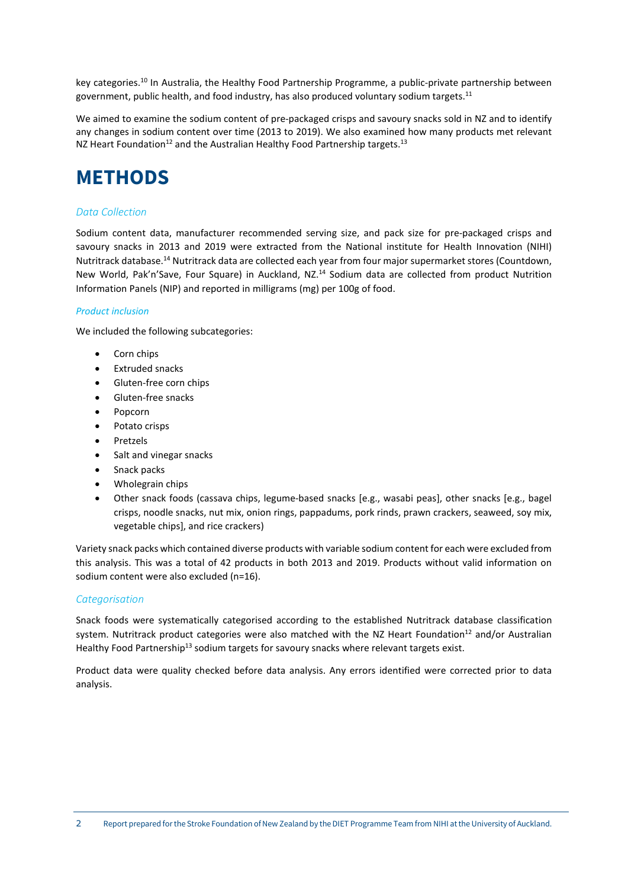key categories.10 In Australia, the Healthy Food Partnership Programme, a public-private partnership between government, public health, and food industry, has also produced voluntary sodium targets.<sup>11</sup>

We aimed to examine the sodium content of pre-packaged crisps and savoury snacks sold in NZ and to identify any changes in sodium content over time (2013 to 2019). We also examined how many products met relevant NZ Heart Foundation<sup>12</sup> and the Australian Healthy Food Partnership targets.<sup>13</sup>

# **METHODS**

# *Data Collection*

Sodium content data, manufacturer recommended serving size, and pack size for pre-packaged crisps and savoury snacks in 2013 and 2019 were extracted from the National institute for Health Innovation (NIHI) Nutritrack database.14 Nutritrack data are collected each year from four major supermarket stores (Countdown, New World, Pak'n'Save, Four Square) in Auckland, NZ.<sup>14</sup> Sodium data are collected from product Nutrition Information Panels (NIP) and reported in milligrams (mg) per 100g of food.

### *Product inclusion*

We included the following subcategories:

- Corn chips
- Extruded snacks
- Gluten-free corn chips
- Gluten-free snacks
- Popcorn
- Potato crisps
- Pretzels
- Salt and vinegar snacks
- Snack packs
- Wholegrain chips
- Other snack foods (cassava chips, legume-based snacks [e.g., wasabi peas], other snacks [e.g., bagel crisps, noodle snacks, nut mix, onion rings, pappadums, pork rinds, prawn crackers, seaweed, soy mix, vegetable chips], and rice crackers)

Variety snack packs which contained diverse products with variable sodium content for each were excluded from this analysis. This was a total of 42 products in both 2013 and 2019. Products without valid information on sodium content were also excluded (n=16).

# *Categorisation*

Snack foods were systematically categorised according to the established Nutritrack database classification system. Nutritrack product categories were also matched with the NZ Heart Foundation<sup>12</sup> and/or Australian Healthy Food Partnership<sup>13</sup> sodium targets for savoury snacks where relevant targets exist.

Product data were quality checked before data analysis. Any errors identified were corrected prior to data analysis.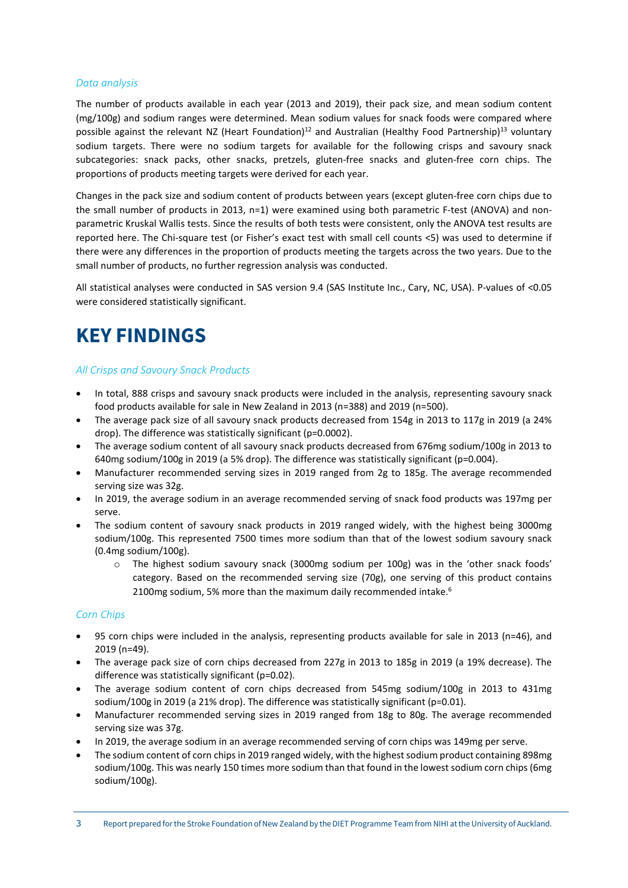### *Data analysis*

The number of products available in each year (2013 and 2019), their pack size, and mean sodium content (mg/100g) and sodium ranges were determined. Mean sodium values for snack foods were compared where possible against the relevant NZ (Heart Foundation)<sup>12</sup> and Australian (Healthy Food Partnership)<sup>13</sup> voluntary sodium targets. There were no sodium targets for available for the following crisps and savoury snack subcategories: snack packs, other snacks, pretzels, gluten-free snacks and gluten-free corn chips. The proportions of products meeting targets were derived for each year.

Changes in the pack size and sodium content of products between years (except gluten-free corn chips due to the small number of products in 2013, n=1) were examined using both parametric F-test (ANOVA) and nonparametric Kruskal Wallis tests. Since the results of both tests were consistent, only the ANOVA test results are reported here. The Chi-square test (or Fisher's exact test with small cell counts <5) was used to determine if there were any differences in the proportion of products meeting the targets across the two years. Due to the small number of products, no further regression analysis was conducted.

All statistical analyses were conducted in SAS version 9.4 (SAS Institute Inc., Cary, NC, USA). P-values of <0.05 were considered statistically significant.

# **KEY FINDINGS**

# *All Crisps and Savoury Snack Products*

- In total, 888 crisps and savoury snack products were included in the analysis, representing savoury snack food products available for sale in New Zealand in 2013 (n=388) and 2019 (n=500).
- The average pack size of all savoury snack products decreased from 154g in 2013 to 117g in 2019 (a 24% drop). The difference was statistically significant (p=0.0002).
- The average sodium content of all savoury snack products decreased from 676mg sodium/100g in 2013 to 640mg sodium/100g in 2019 (a 5% drop). The difference was statistically significant (p=0.004).
- Manufacturer recommended serving sizes in 2019 ranged from 2g to 185g. The average recommended serving size was 32g.
- In 2019, the average sodium in an average recommended serving of snack food products was 197mg per serve.
- The sodium content of savoury snack products in 2019 ranged widely, with the highest being 3000mg sodium/100g. This represented 7500 times more sodium than that of the lowest sodium savoury snack (0.4mg sodium/100g).
	- o The highest sodium savoury snack (3000mg sodium per 100g) was in the 'other snack foods' category. Based on the recommended serving size (70g), one serving of this product contains 2100mg sodium, 5% more than the maximum daily recommended intake.<sup>6</sup>

### *Corn Chips*

- 95 corn chips were included in the analysis, representing products available for sale in 2013 (n=46), and 2019 (n=49).
- The average pack size of corn chips decreased from 227g in 2013 to 185g in 2019 (a 19% decrease). The difference was statistically significant (p=0.02).
- The average sodium content of corn chips decreased from 545mg sodium/100g in 2013 to 431mg sodium/100g in 2019 (a 21% drop). The difference was statistically significant (p=0.01).
- Manufacturer recommended serving sizes in 2019 ranged from 18g to 80g. The average recommended serving size was 37g.
- In 2019, the average sodium in an average recommended serving of corn chips was 149mg per serve.
- The sodium content of corn chips in 2019 ranged widely, with the highest sodium product containing 898mg sodium/100g. This was nearly 150 times more sodium than that found in the lowest sodium corn chips (6mg sodium/100g).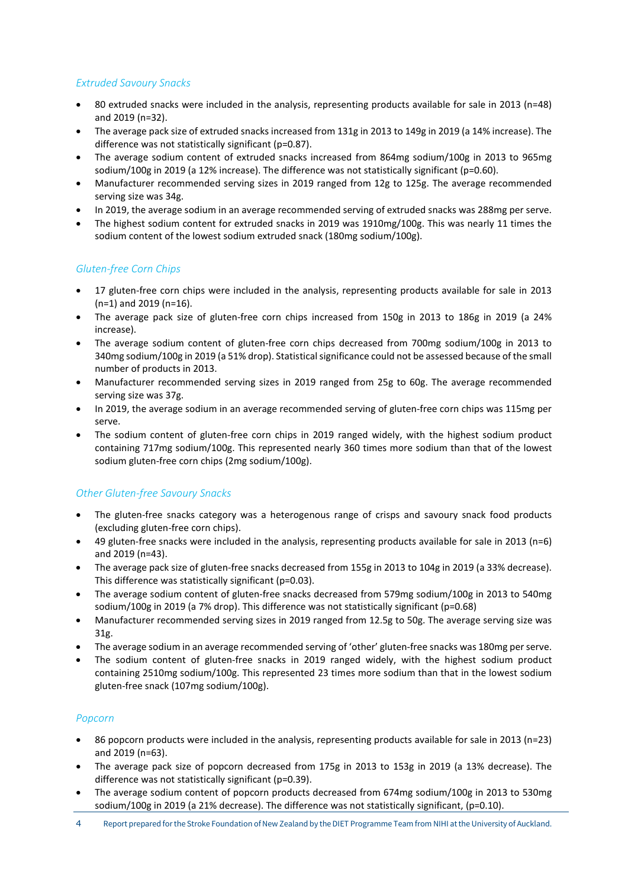# *Extruded Savoury Snacks*

- 80 extruded snacks were included in the analysis, representing products available for sale in 2013 (n=48) and 2019 (n=32).
- The average pack size of extruded snacks increased from 131g in 2013 to 149g in 2019 (a 14% increase). The difference was not statistically significant (p=0.87).
- The average sodium content of extruded snacks increased from 864mg sodium/100g in 2013 to 965mg sodium/100g in 2019 (a 12% increase). The difference was not statistically significant (p=0.60).
- Manufacturer recommended serving sizes in 2019 ranged from 12g to 125g. The average recommended serving size was 34g.
- In 2019, the average sodium in an average recommended serving of extruded snacks was 288mg per serve.
- The highest sodium content for extruded snacks in 2019 was 1910mg/100g. This was nearly 11 times the sodium content of the lowest sodium extruded snack (180mg sodium/100g).

# *Gluten-free Corn Chips*

- 17 gluten-free corn chips were included in the analysis, representing products available for sale in 2013 (n=1) and 2019 (n=16).
- The average pack size of gluten-free corn chips increased from 150g in 2013 to 186g in 2019 (a 24% increase).
- The average sodium content of gluten-free corn chips decreased from 700mg sodium/100g in 2013 to 340mg sodium/100g in 2019 (a 51% drop). Statistical significance could not be assessed because of the small number of products in 2013.
- Manufacturer recommended serving sizes in 2019 ranged from 25g to 60g. The average recommended serving size was 37g.
- In 2019, the average sodium in an average recommended serving of gluten-free corn chips was 115mg per serve.
- The sodium content of gluten-free corn chips in 2019 ranged widely, with the highest sodium product containing 717mg sodium/100g. This represented nearly 360 times more sodium than that of the lowest sodium gluten-free corn chips (2mg sodium/100g).

# *Other Gluten-free Savoury Snacks*

- The gluten-free snacks category was a heterogenous range of crisps and savoury snack food products (excluding gluten-free corn chips).
- 49 gluten-free snacks were included in the analysis, representing products available for sale in 2013 (n=6) and 2019 (n=43).
- The average pack size of gluten-free snacks decreased from 155g in 2013 to 104g in 2019 (a 33% decrease). This difference was statistically significant (p=0.03).
- The average sodium content of gluten-free snacks decreased from 579mg sodium/100g in 2013 to 540mg sodium/100g in 2019 (a 7% drop). This difference was not statistically significant (p=0.68)
- Manufacturer recommended serving sizes in 2019 ranged from 12.5g to 50g. The average serving size was 31g.
- The average sodium in an average recommended serving of 'other' gluten-free snacks was 180mg per serve.
- The sodium content of gluten-free snacks in 2019 ranged widely, with the highest sodium product containing 2510mg sodium/100g. This represented 23 times more sodium than that in the lowest sodium gluten-free snack (107mg sodium/100g).

# *Popcorn*

- 86 popcorn products were included in the analysis, representing products available for sale in 2013 (n=23) and 2019 (n=63).
- The average pack size of popcorn decreased from 175g in 2013 to 153g in 2019 (a 13% decrease). The difference was not statistically significant (p=0.39).
- The average sodium content of popcorn products decreased from 674mg sodium/100g in 2013 to 530mg sodium/100g in 2019 (a 21% decrease). The difference was not statistically significant, (p=0.10).
- 4 Report prepared forthe Stroke Foundation of New Zealand by the DIET Programme Team from NIHI at the University of Auckland.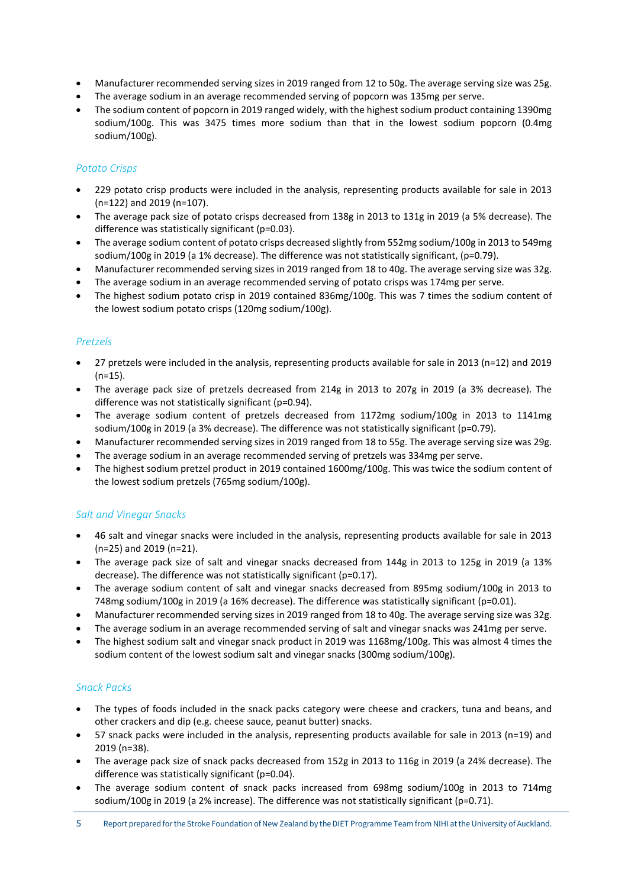- Manufacturer recommended serving sizes in 2019 ranged from 12 to 50g. The average serving size was 25g.
- The average sodium in an average recommended serving of popcorn was 135mg per serve.
- The sodium content of popcorn in 2019 ranged widely, with the highest sodium product containing 1390mg sodium/100g. This was 3475 times more sodium than that in the lowest sodium popcorn (0.4mg sodium/100g).

# *Potato Crisps*

- 229 potato crisp products were included in the analysis, representing products available for sale in 2013 (n=122) and 2019 (n=107).
- The average pack size of potato crisps decreased from 138g in 2013 to 131g in 2019 (a 5% decrease). The difference was statistically significant (p=0.03).
- The average sodium content of potato crisps decreased slightly from 552mg sodium/100g in 2013 to 549mg sodium/100g in 2019 (a 1% decrease). The difference was not statistically significant, (p=0.79).
- Manufacturer recommended serving sizes in 2019 ranged from 18 to 40g. The average serving size was 32g.
- The average sodium in an average recommended serving of potato crisps was 174mg per serve.
- The highest sodium potato crisp in 2019 contained 836mg/100g. This was 7 times the sodium content of the lowest sodium potato crisps (120mg sodium/100g).

# *Pretzels*

- 27 pretzels were included in the analysis, representing products available for sale in 2013 (n=12) and 2019  $(n=15)$ .
- The average pack size of pretzels decreased from 214g in 2013 to 207g in 2019 (a 3% decrease). The difference was not statistically significant (p=0.94).
- The average sodium content of pretzels decreased from 1172mg sodium/100g in 2013 to 1141mg sodium/100g in 2019 (a 3% decrease). The difference was not statistically significant (p=0.79).
- Manufacturer recommended serving sizes in 2019 ranged from 18 to 55g. The average serving size was 29g.
- The average sodium in an average recommended serving of pretzels was 334mg per serve.
- The highest sodium pretzel product in 2019 contained 1600mg/100g. This was twice the sodium content of the lowest sodium pretzels (765mg sodium/100g).

# *Salt and Vinegar Snacks*

- 46 salt and vinegar snacks were included in the analysis, representing products available for sale in 2013 (n=25) and 2019 (n=21).
- The average pack size of salt and vinegar snacks decreased from 144g in 2013 to 125g in 2019 (a 13% decrease). The difference was not statistically significant (p=0.17).
- The average sodium content of salt and vinegar snacks decreased from 895mg sodium/100g in 2013 to 748mg sodium/100g in 2019 (a 16% decrease). The difference was statistically significant (p=0.01).
- Manufacturer recommended serving sizes in 2019 ranged from 18 to 40g. The average serving size was 32g.
- The average sodium in an average recommended serving of salt and vinegar snacks was 241mg per serve.
- The highest sodium salt and vinegar snack product in 2019 was 1168mg/100g. This was almost 4 times the sodium content of the lowest sodium salt and vinegar snacks (300mg sodium/100g).

# *Snack Packs*

- The types of foods included in the snack packs category were cheese and crackers, tuna and beans, and other crackers and dip (e.g. cheese sauce, peanut butter) snacks.
- 57 snack packs were included in the analysis, representing products available for sale in 2013 (n=19) and 2019 (n=38).
- The average pack size of snack packs decreased from 152g in 2013 to 116g in 2019 (a 24% decrease). The difference was statistically significant (p=0.04).
- The average sodium content of snack packs increased from 698mg sodium/100g in 2013 to 714mg sodium/100g in 2019 (a 2% increase). The difference was not statistically significant (p=0.71).

5 Report prepared forthe Stroke Foundation of New Zealand by the DIET Programme Team from NIHI at the University of Auckland.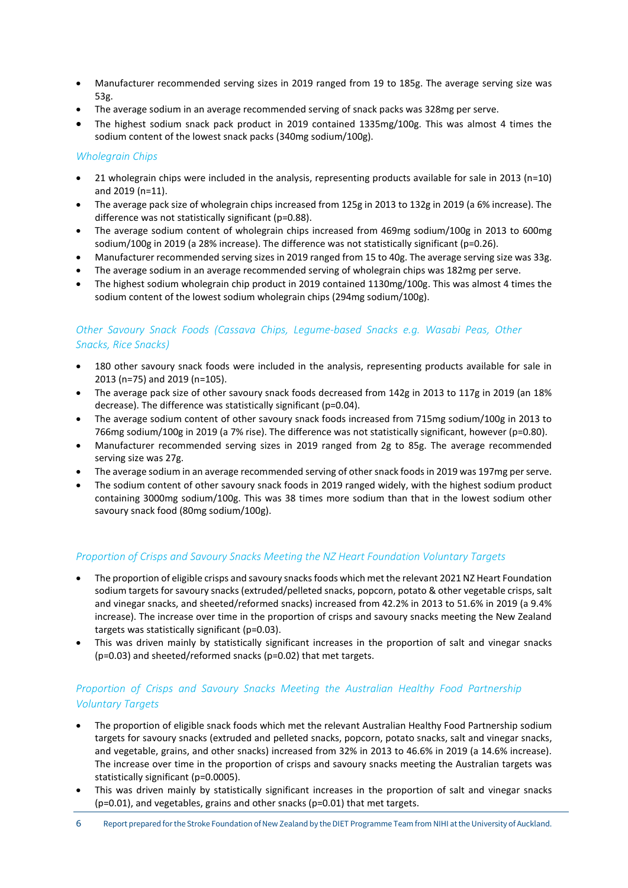- Manufacturer recommended serving sizes in 2019 ranged from 19 to 185g. The average serving size was 53g.
- The average sodium in an average recommended serving of snack packs was 328mg per serve.
- The highest sodium snack pack product in 2019 contained 1335mg/100g. This was almost 4 times the sodium content of the lowest snack packs (340mg sodium/100g).

# *Wholegrain Chips*

- 21 wholegrain chips were included in the analysis, representing products available for sale in 2013 (n=10) and 2019 (n=11).
- The average pack size of wholegrain chips increased from 125g in 2013 to 132g in 2019 (a 6% increase). The difference was not statistically significant (p=0.88).
- The average sodium content of wholegrain chips increased from 469mg sodium/100g in 2013 to 600mg sodium/100g in 2019 (a 28% increase). The difference was not statistically significant (p=0.26).
- Manufacturer recommended serving sizes in 2019 ranged from 15 to 40g. The average serving size was 33g.
- The average sodium in an average recommended serving of wholegrain chips was 182mg per serve.
- The highest sodium wholegrain chip product in 2019 contained 1130mg/100g. This was almost 4 times the sodium content of the lowest sodium wholegrain chips (294mg sodium/100g).

# *Other Savoury Snack Foods (Cassava Chips, Legume-based Snacks e.g. Wasabi Peas, Other Snacks, Rice Snacks)*

- 180 other savoury snack foods were included in the analysis, representing products available for sale in 2013 (n=75) and 2019 (n=105).
- The average pack size of other savoury snack foods decreased from 142g in 2013 to 117g in 2019 (an 18% decrease). The difference was statistically significant (p=0.04).
- The average sodium content of other savoury snack foods increased from 715mg sodium/100g in 2013 to 766mg sodium/100g in 2019 (a 7% rise). The difference was not statistically significant, however (p=0.80).
- Manufacturer recommended serving sizes in 2019 ranged from 2g to 85g. The average recommended serving size was 27g.
- The average sodium in an average recommended serving of other snack foods in 2019 was 197mg per serve.
- The sodium content of other savoury snack foods in 2019 ranged widely, with the highest sodium product containing 3000mg sodium/100g. This was 38 times more sodium than that in the lowest sodium other savoury snack food (80mg sodium/100g).

# *Proportion of Crisps and Savoury Snacks Meeting the NZ Heart Foundation Voluntary Targets*

- The proportion of eligible crisps and savoury snacks foods which met the relevant 2021 NZ Heart Foundation sodium targets for savoury snacks (extruded/pelleted snacks, popcorn, potato & other vegetable crisps, salt and vinegar snacks, and sheeted/reformed snacks) increased from 42.2% in 2013 to 51.6% in 2019 (a 9.4% increase). The increase over time in the proportion of crisps and savoury snacks meeting the New Zealand targets was statistically significant (p=0.03).
- This was driven mainly by statistically significant increases in the proportion of salt and vinegar snacks (p=0.03) and sheeted/reformed snacks (p=0.02) that met targets.

# *Proportion of Crisps and Savoury Snacks Meeting the Australian Healthy Food Partnership Voluntary Targets*

- The proportion of eligible snack foods which met the relevant Australian Healthy Food Partnership sodium targets for savoury snacks (extruded and pelleted snacks, popcorn, potato snacks, salt and vinegar snacks, and vegetable, grains, and other snacks) increased from 32% in 2013 to 46.6% in 2019 (a 14.6% increase). The increase over time in the proportion of crisps and savoury snacks meeting the Australian targets was statistically significant (p=0.0005).
- This was driven mainly by statistically significant increases in the proportion of salt and vinegar snacks (p=0.01), and vegetables, grains and other snacks (p=0.01) that met targets.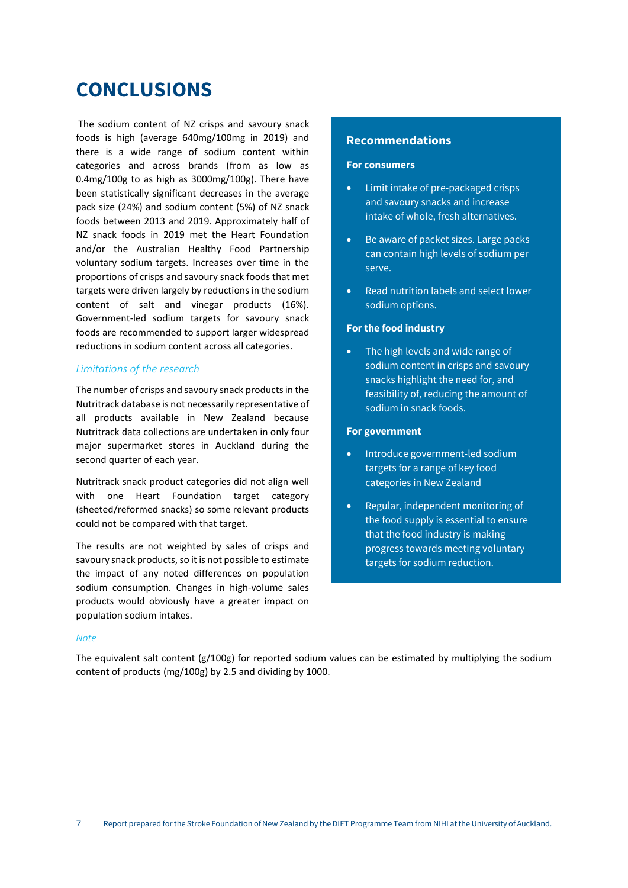# **CONCLUSIONS**

The sodium content of NZ crisps and savoury snack foods is high (average 640mg/100mg in 2019) and there is a wide range of sodium content within categories and across brands (from as low as 0.4mg/100g to as high as 3000mg/100g). There have been statistically significant decreases in the average pack size (24%) and sodium content (5%) of NZ snack foods between 2013 and 2019. Approximately half of NZ snack foods in 2019 met the Heart Foundation and/or the Australian Healthy Food Partnership voluntary sodium targets. Increases over time in the proportions of crisps and savoury snack foods that met targets were driven largely by reductions in the sodium content of salt and vinegar products (16%). Government-led sodium targets for savoury snack foods are recommended to support larger widespread reductions in sodium content across all categories.

### *Limitations of the research*

The number of crisps and savoury snack products in the Nutritrack database is not necessarily representative of all products available in New Zealand because Nutritrack data collections are undertaken in only four major supermarket stores in Auckland during the second quarter of each year.

Nutritrack snack product categories did not align well with one Heart Foundation target category (sheeted/reformed snacks) so some relevant products could not be compared with that target.

The results are not weighted by sales of crisps and savoury snack products, so it is not possible to estimate the impact of any noted differences on population sodium consumption. Changes in high-volume sales products would obviously have a greater impact on population sodium intakes.

### **Recommendations**

#### **For consumers**

- Limit intake of pre-packaged crisps and savoury snacks and increase intake of whole, fresh alternatives.
- Be aware of packet sizes. Large packs can contain high levels of sodium per serve.
- Read nutrition labels and select lower sodium options.

### **For the food industry**

• The high levels and wide range of sodium content in crisps and savoury snacks highlight the need for, and feasibility of, reducing the amount of sodium in snack foods.

### **For government**

- Introduce government-led sodium targets for a range of key food categories in New Zealand
- Regular, independent monitoring of the food supply is essential to ensure that the food industry is making progress towards meeting voluntary targets for sodium reduction.

#### *Note*

The equivalent salt content (g/100g) for reported sodium values can be estimated by multiplying the sodium content of products (mg/100g) by 2.5 and dividing by 1000.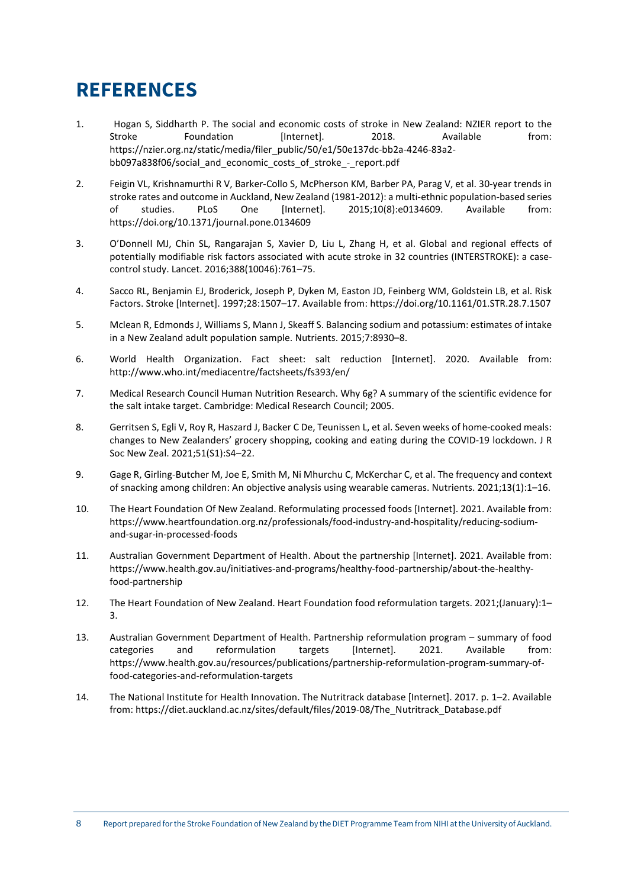# **REFERENCES**

- 1. Hogan S, Siddharth P. The social and economic costs of stroke in New Zealand: NZIER report to the Stroke Foundation [Internet]. 2018. Available from: https://nzier.org.nz/static/media/filer\_public/50/e1/50e137dc-bb2a-4246-83a2 bb097a838f06/social\_and\_economic\_costs\_of\_stroke\_-\_report.pdf
- 2. Feigin VL, Krishnamurthi R V, Barker-Collo S, McPherson KM, Barber PA, Parag V, et al. 30-year trends in stroke rates and outcome in Auckland, New Zealand (1981-2012): a multi-ethnic population-based series of studies. PLoS One [Internet]. 2015;10(8):e0134609. Available from: https://doi.org/10.1371/journal.pone.0134609
- 3. O'Donnell MJ, Chin SL, Rangarajan S, Xavier D, Liu L, Zhang H, et al. Global and regional effects of potentially modifiable risk factors associated with acute stroke in 32 countries (INTERSTROKE): a casecontrol study. Lancet. 2016;388(10046):761–75.
- 4. Sacco RL, Benjamin EJ, Broderick, Joseph P, Dyken M, Easton JD, Feinberg WM, Goldstein LB, et al. Risk Factors. Stroke [Internet]. 1997;28:1507–17. Available from: https://doi.org/10.1161/01.STR.28.7.1507
- 5. Mclean R, Edmonds J, Williams S, Mann J, Skeaff S. Balancing sodium and potassium: estimates of intake in a New Zealand adult population sample. Nutrients. 2015;7:8930–8.
- 6. World Health Organization. Fact sheet: salt reduction [Internet]. 2020. Available from: http://www.who.int/mediacentre/factsheets/fs393/en/
- 7. Medical Research Council Human Nutrition Research. Why 6g? A summary of the scientific evidence for the salt intake target. Cambridge: Medical Research Council; 2005.
- 8. Gerritsen S, Egli V, Roy R, Haszard J, Backer C De, Teunissen L, et al. Seven weeks of home-cooked meals: changes to New Zealanders' grocery shopping, cooking and eating during the COVID-19 lockdown. J R Soc New Zeal. 2021;51(S1):S4–22.
- 9. Gage R, Girling-Butcher M, Joe E, Smith M, Ni Mhurchu C, McKerchar C, et al. The frequency and context of snacking among children: An objective analysis using wearable cameras. Nutrients. 2021;13(1):1–16.
- 10. The Heart Foundation Of New Zealand. Reformulating processed foods [Internet]. 2021. Available from: https://www.heartfoundation.org.nz/professionals/food-industry-and-hospitality/reducing-sodiumand-sugar-in-processed-foods
- 11. Australian Government Department of Health. About the partnership [Internet]. 2021. Available from: https://www.health.gov.au/initiatives-and-programs/healthy-food-partnership/about-the-healthyfood-partnership
- 12. The Heart Foundation of New Zealand. Heart Foundation food reformulation targets. 2021;(January):1– 3.
- 13. Australian Government Department of Health. Partnership reformulation program summary of food categories and reformulation targets [Internet]. 2021. Available from: https://www.health.gov.au/resources/publications/partnership-reformulation-program-summary-offood-categories-and-reformulation-targets
- 14. The National Institute for Health Innovation. The Nutritrack database [Internet]. 2017. p. 1–2. Available from: https://diet.auckland.ac.nz/sites/default/files/2019-08/The\_Nutritrack\_Database.pdf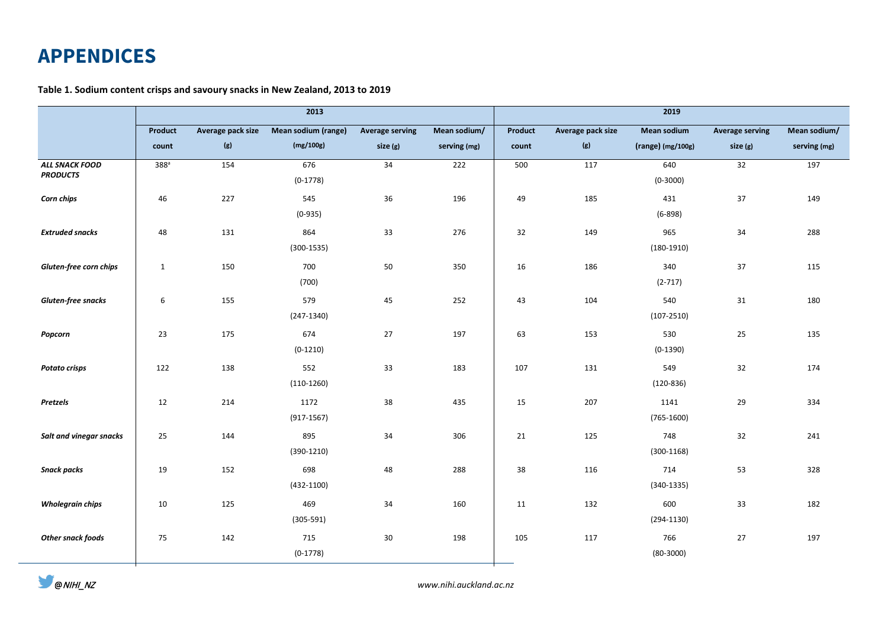# **APPENDICES**

# **Table 1. Sodium content crisps and savoury snacks in New Zealand, 2013 to 2019**

|                                          | 2013             |                   |                      |                        |              | 2019    |                   |                       |                        |              |  |
|------------------------------------------|------------------|-------------------|----------------------|------------------------|--------------|---------|-------------------|-----------------------|------------------------|--------------|--|
|                                          | Product          | Average pack size | Mean sodium (range)  | <b>Average serving</b> | Mean sodium/ | Product | Average pack size | Mean sodium           | <b>Average serving</b> | Mean sodium/ |  |
|                                          | count            | (g)               | (mg/100g)            | size (g)               | serving (mg) | count   | (g)               | (range) (mg/100g)     | size (g)               | serving (mg) |  |
| <b>ALL SNACK FOOD</b><br><b>PRODUCTS</b> | 388 <sup>a</sup> | 154               | 676<br>$(0-1778)$    | 34                     | 222          | 500     | 117               | 640<br>$(0-3000)$     | 32                     | 197          |  |
| Corn chips                               | 46               | 227               | 545<br>$(0-935)$     | 36                     | 196          | 49      | 185               | 431<br>$(6-898)$      | 37                     | 149          |  |
| <b>Extruded snacks</b>                   | 48               | 131               | 864<br>$(300-1535)$  | 33                     | 276          | 32      | 149               | 965<br>$(180-1910)$   | 34                     | 288          |  |
| Gluten-free corn chips                   | $\mathbf{1}$     | 150               | 700<br>(700)         | 50                     | 350          | 16      | 186               | 340<br>$(2-717)$      | 37                     | 115          |  |
| Gluten-free snacks                       | 6                | 155               | 579<br>$(247-1340)$  | 45                     | 252          | 43      | 104               | 540<br>$(107 - 2510)$ | 31                     | 180          |  |
| Popcorn                                  | 23               | 175               | 674<br>$(0-1210)$    | 27                     | 197          | 63      | 153               | 530<br>$(0-1390)$     | 25                     | 135          |  |
| <b>Potato crisps</b>                     | 122              | 138               | 552<br>$(110-1260)$  | 33                     | 183          | 107     | 131               | 549<br>$(120-836)$    | 32                     | 174          |  |
| Pretzels                                 | 12               | 214               | 1172<br>$(917-1567)$ | 38                     | 435          | 15      | 207               | 1141<br>$(765-1600)$  | 29                     | 334          |  |
| Salt and vinegar snacks                  | 25               | 144               | 895<br>$(390-1210)$  | 34                     | 306          | 21      | 125               | 748<br>$(300-1168)$   | 32                     | 241          |  |
| <b>Snack packs</b>                       | 19               | 152               | 698<br>$(432-1100)$  | 48                     | 288          | 38      | 116               | 714<br>$(340-1335)$   | 53                     | 328          |  |
| <b>Wholegrain chips</b>                  | 10               | 125               | 469<br>$(305 - 591)$ | 34                     | 160          | 11      | 132               | 600<br>$(294-1130)$   | 33                     | 182          |  |
| Other snack foods                        | 75               | 142               | 715<br>$(0-1778)$    | 30                     | 198          | 105     | 117               | 766<br>$(80 - 3000)$  | 27                     | 197          |  |

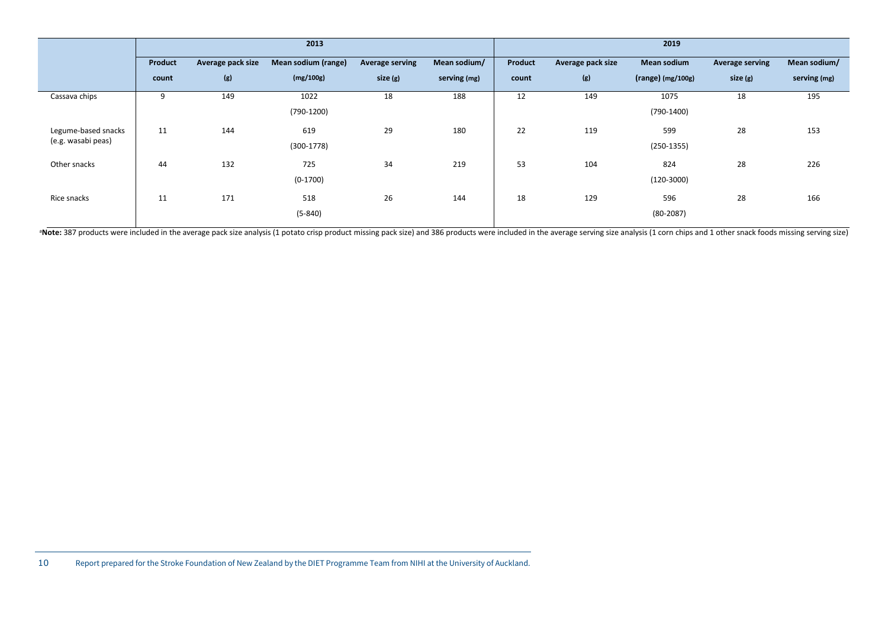|                     |         |                   | 2013                |                 |              |         |                   | 2019                |                        |              |
|---------------------|---------|-------------------|---------------------|-----------------|--------------|---------|-------------------|---------------------|------------------------|--------------|
|                     | Product | Average pack size | Mean sodium (range) | Average serving | Mean sodium/ | Product | Average pack size | <b>Mean sodium</b>  | <b>Average serving</b> | Mean sodium/ |
|                     | count   | (g)               | (mg/100g)           | size (g)        | serving (mg) | count   | (g)               | $(range)$ (mg/100g) | size(g)                | serving (mg) |
| Cassava chips       | 9       | 149               | 1022                | 18              | 188          | 12      | 149               | 1075                | 18                     | 195          |
|                     |         |                   | $(790-1200)$        |                 |              |         |                   | $(790-1400)$        |                        |              |
| Legume-based snacks | 11      | 144               | 619                 | 29              | 180          | 22      | 119               | 599                 | 28                     | 153          |
| (e.g. wasabi peas)  |         |                   | $(300-1778)$        |                 |              |         |                   | $(250-1355)$        |                        |              |
| Other snacks        | 44      | 132               | 725                 | 34              | 219          | 53      | 104               | 824                 | 28                     | 226          |
|                     |         |                   | $(0-1700)$          |                 |              |         |                   | $(120-3000)$        |                        |              |
| Rice snacks         | 11      | 171               | 518                 | 26              | 144          | 18      | 129               | 596                 | 28                     | 166          |
|                     |         |                   | $(5 - 840)$         |                 |              |         |                   | $(80-2087)$         |                        |              |
|                     |         |                   |                     |                 |              |         |                   |                     |                        |              |

<sup>a</sup>Note: 387 products were included in the average pack size analysis (1 potato crisp product missing pack size) and 386 products were included in the average serving size analysis (1 corn chips and 1 other snack foods mis

<sup>10</sup> Report prepared for the Stroke Foundation of New Zealand by the DIET Programme Team from NIHI at the University of Auckland.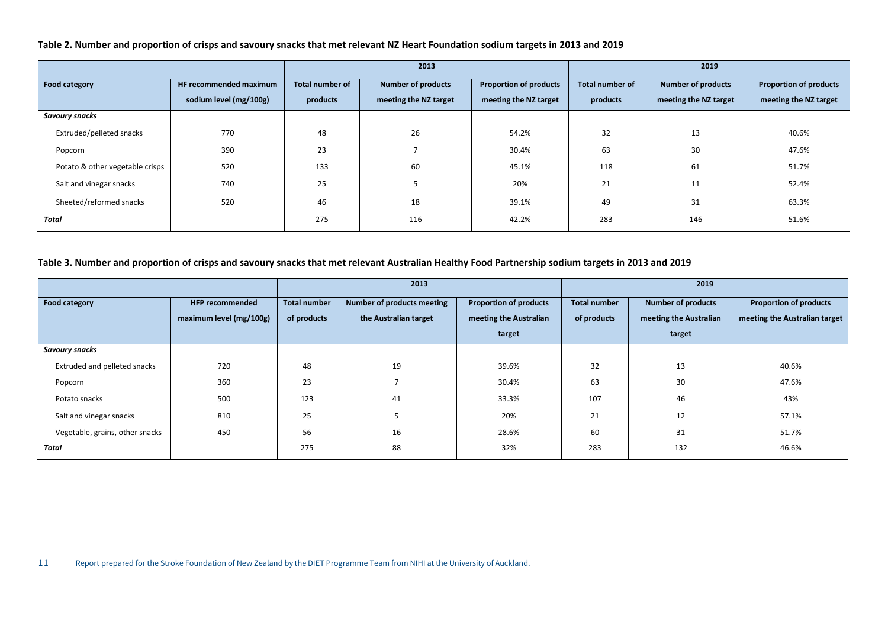**Table 2. Number and proportion of crisps and savoury snacks that met relevant NZ Heart Foundation sodium targets in 2013 and 2019**

|                                 |                        |                        | 2013                      |                               | 2019                   |                           |                               |  |
|---------------------------------|------------------------|------------------------|---------------------------|-------------------------------|------------------------|---------------------------|-------------------------------|--|
| Food category                   | HF recommended maximum | <b>Total number of</b> | <b>Number of products</b> | <b>Proportion of products</b> | <b>Total number of</b> | <b>Number of products</b> | <b>Proportion of products</b> |  |
|                                 | sodium level (mg/100g) | products               | meeting the NZ target     | meeting the NZ target         | products               | meeting the NZ target     | meeting the NZ target         |  |
| Savoury snacks                  |                        |                        |                           |                               |                        |                           |                               |  |
| Extruded/pelleted snacks        | 770                    | 48                     | 26                        | 54.2%                         | 32                     | 13                        | 40.6%                         |  |
| Popcorn                         | 390                    | 23                     |                           | 30.4%                         | 63                     | 30                        | 47.6%                         |  |
| Potato & other vegetable crisps | 520                    | 133                    | 60                        | 45.1%                         | 118                    | 61                        | 51.7%                         |  |
| Salt and vinegar snacks         | 740                    | 25                     |                           | 20%                           | 21                     | 11                        | 52.4%                         |  |
| Sheeted/reformed snacks         | 520                    | 46                     | 18                        | 39.1%                         | 49                     | 31                        | 63.3%                         |  |
| Total                           |                        | 275                    | 116                       | 42.2%                         | 283                    | 146                       | 51.6%                         |  |

### **Table 3. Number and proportion of crisps and savoury snacks that met relevant Australian Healthy Food Partnership sodium targets in 2013 and 2019**

|                                 |                         |                     | 2013                       |                               | 2019                |                           |                               |  |
|---------------------------------|-------------------------|---------------------|----------------------------|-------------------------------|---------------------|---------------------------|-------------------------------|--|
| Food category                   | <b>HFP recommended</b>  | <b>Total number</b> | Number of products meeting | <b>Proportion of products</b> | <b>Total number</b> | <b>Number of products</b> | <b>Proportion of products</b> |  |
|                                 | maximum level (mg/100g) | of products         | the Australian target      | meeting the Australian        | of products         | meeting the Australian    | meeting the Australian target |  |
|                                 |                         |                     |                            | target                        |                     | target                    |                               |  |
| Savoury snacks                  |                         |                     |                            |                               |                     |                           |                               |  |
| Extruded and pelleted snacks    | 720                     | 48                  | 19                         | 39.6%                         | 32                  | 13                        | 40.6%                         |  |
| Popcorn                         | 360                     | 23                  |                            | 30.4%                         | 63                  | 30                        | 47.6%                         |  |
| Potato snacks                   | 500                     | 123                 | 41                         | 33.3%                         | 107                 | 46                        | 43%                           |  |
| Salt and vinegar snacks         | 810                     | 25                  |                            | 20%                           | 21                  | 12                        | 57.1%                         |  |
| Vegetable, grains, other snacks | 450                     | 56                  | 16                         | 28.6%                         | 60                  | 31                        | 51.7%                         |  |
| Total                           |                         | 275                 | 88                         | 32%                           | 283                 | 132                       | 46.6%                         |  |